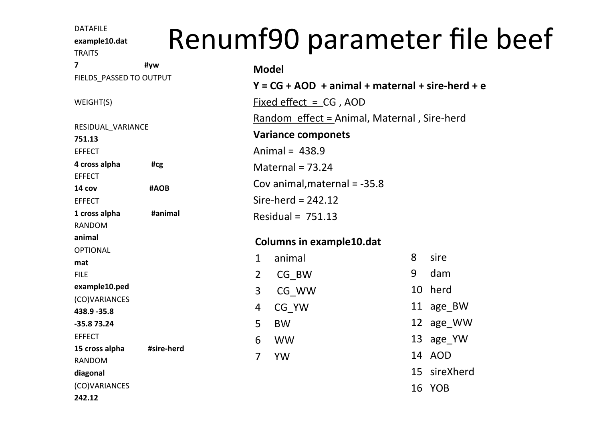**example10.dat** 

TRAITS 

## DATAFILE example10.dat Renumf90 parameter file beef

| 7                                               | #yw        |                     | <b>Model</b>                                                                |         |                            |  |
|-------------------------------------------------|------------|---------------------|-----------------------------------------------------------------------------|---------|----------------------------|--|
| FIELDS PASSED TO OUTPUT                         |            |                     | $Y = CG + AOD + animal + maternal + sire - herd + e$                        |         |                            |  |
| WEIGHT(S)                                       |            |                     | $Fixed effect = CG$ , $AOD$                                                 |         |                            |  |
| RESIDUAL_VARIANCE<br>751.13                     |            |                     | Random $effect = Animal$ , Maternal, Sire-herd<br><b>Variance componets</b> |         |                            |  |
| <b>EFFECT</b><br>4 cross alpha                  | #cg        |                     | Animal = $438.9$<br>Maternal = $73.24$<br>Cov animal, maternal $= -35.8$    |         |                            |  |
| <b>EFFECT</b><br>14 cov                         | #AOB       |                     |                                                                             |         |                            |  |
| <b>EFFECT</b><br>1 cross alpha<br><b>RANDOM</b> | #animal    |                     | Sire-herd = $242.12$<br>Residual = $751.13$                                 |         |                            |  |
| animal                                          |            |                     | <b>Columns in example10.dat</b>                                             |         |                            |  |
| <b>OPTIONAL</b><br>mat                          |            | $\mathbf{1}$        | animal                                                                      | 8       | sire                       |  |
| <b>FILE</b><br>example10.ped                    |            | $\overline{2}$<br>3 | $CG$ _BW<br>CG WW                                                           | 9<br>10 | dam<br>herd                |  |
| (CO)VARIANCES<br>438.9 - 35.8                   |            | 4                   | CG YW                                                                       |         | 11 age_BW                  |  |
| -35.8 73.24<br><b>EFFECT</b>                    |            | 5<br>6              | <b>BW</b><br><b>WW</b>                                                      |         | 12 age_WW<br>13 age_YW     |  |
| 15 cross alpha<br><b>RANDOM</b>                 | #sire-herd | $\overline{7}$      | <b>YW</b>                                                                   |         | 14 AOD                     |  |
| diagonal<br>(CO)VARIANCES<br>242.12             |            |                     |                                                                             | 16      | 15 sireXherd<br><b>YOB</b> |  |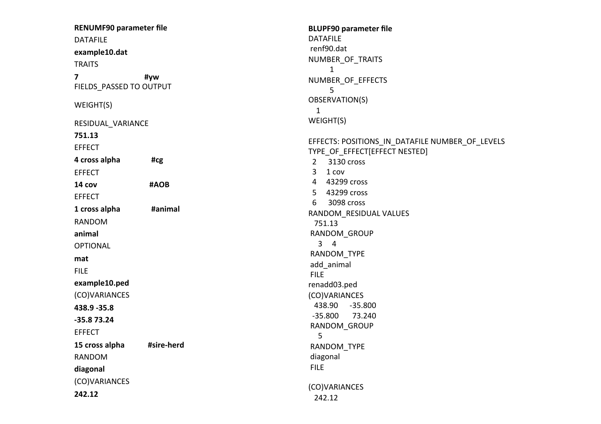**RENUMF90 parameter file**  DATAFILE **example10.dat TRAITS 7 #vw** FIELDS PASSED TO OUTPUT WEIGHT(S) RESIDUAL\_VARIANCE **751.13**  EFFECT **4** cross alpha **#cg** EFFECT **14 cov #AOB** EFFECT **1 cross alpha #animal** RANDOM **animal** OPTIONAL **mat** FILE **example10.ped**  (CO)VARIANCES **438.9 -35.8 -35.8 73.24**  EFFECT 15 cross alpha **#sire-herd** RANDOM **diagonal**  (CO)VARIANCES **242.12** 1 FILE 5 FILE (CO)VARIANCES 242.12

**BLUPF90 parameter file**  DATAFILE renf90.dat NUMBER\_OF\_TRAITS 1 NUMBER\_OF\_EFFECTS 5 OBSERVATION(S) WEIGHT(S) EFFECTS: POSITIONS IN DATAFILE NUMBER OF LEVELS TYPE OF EFFECT[EFFECT NESTED] 2 3130 cross  $3 \quad 1 \text{ cov}$  4 43299 cross 5 43299 cross 6 3098 cross RANDOM\_RESIDUAL VALUES 751.13 RANDOM\_GROUP  $3 \quad 4$  RANDOM\_TYPE add\_animal renadd03.ped (CO)VARIANCES 438.90 -35.800  $-35.800$   $73.240$  RANDOM\_GROUP RANDOM\_TYPE diagonal